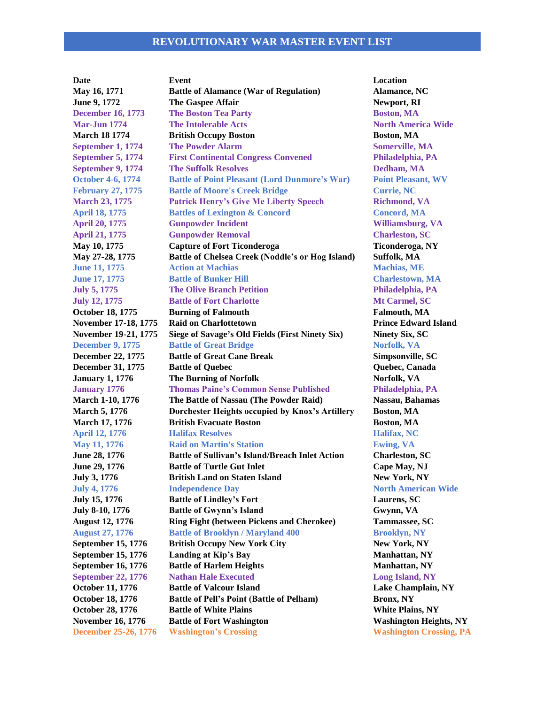### **REVOLUTIONARY WAR MASTER EVENT LIST**

**Date Event Location May 16, 1771 Battle of Alamance (War of Regulation) Alamance, NC June 9, 1772 The Gaspee Affair Newport, RI December 16, 1773 The Boston Tea Party <b>Boston, MA Mar-Jun 1774 The Intolerable Acts North America Wide March 18** 1774 **British Occupy Boston Boston Boston, MA September 1, 1774 The Powder Alarm Somerville, MA September 5, 1774 First Continental Congress Convened Philadelphia, PA September 9, 1774 The Suffolk Resolves Dedham, MA October 4-6, 1774 Battle of Point Pleasant (Lord Dunmore's War) Point Pleasant, WV February 27, 1775 Battle of Moore's Creek Bridge Currie, NC March 23, 1775 Patrick Henry's Give Me Liberty Speech Richmond, VA April 18, 1775 Battles of Lexington & Concord Concord, MA April 20, 1775 Gunpowder Incident Williamsburg, VA April 21, 1775 Gunpowder Removal Charleston, SC May 10, 1775 Capture of Fort Ticonderoga Ticonderoga, NY May 27-28, 1775 Battle of Chelsea Creek (Noddle's or Hog Island) Suffolk, MA June 11, 1775 Action at Machias Machias, ME June 17, 1775 Battle of Bunker Hill Charlestown, MA July 5, 1775 The Olive Branch Petition Philadelphia, PA July 12, 1775 Battle of Fort Charlotte Mt Carmel, SC October 18, 1775 Burning of Falmouth Falmouth, MA November 17-18, 1775 • Raid on Charlottetown <b>Prince Edward Island November 19-21, 1775 Siege of Savage's Old Fields (First Ninety Six) Ninety Six, SC December 9, 1775 Battle of Great Bridge <b>Norfolk, VA December 22, 1775 Battle of Great Cane Break Simpsonville, SC December 31, 1775 Battle of Quebec Quebec, Canada January 1, 1776 The Burning of Norfolk Norfolk, VA January 1776 Thomas Paine's Common Sense Published Philadelphia, PA March 1-10, 1776 The Battle of Nassau (The Powder Raid) Nassau, Bahamas March 5, 1776 Dorchester Heights occupied by Knox's Artillery Boston, MA March 17, 1776 British Evacuate Boston Boston, MA April 12, 1776 Halifax Resolves Halifax, NC May 11, 1776 Raid on Martin's Station Ewing, VA June 28, 1776 Battle of Sullivan's Island/Breach Inlet Action Charleston, SC June 29, 1776 Battle of Turtle Gut Inlet Cape May, NJ July 3, 1776 British Land on Staten Island New York, NY July 4, 1776 Independence Day North American Wide July 15, 1776 Battle of Lindley's Fort Laurens, SC July 8-10, 1776 Battle of Gwynn's Island Gwynn, VA August 12, 1776 Ring Fight (between Pickens and Cherokee) Tammassee, SC August 27, 1776 Battle of Brooklyn / Maryland 400 Brooklyn, NY September 15, 1776 British Occupy New York City New York, NY September 15, 1776 Landing at Kip's Bay Manhattan, NY September 16, 1776 Battle of Harlem Heights <b>Manhattan, NY September 22, 1776 Nathan Hale Executed Long Island, NY October 11, 1776 Battle of Valcour Island Lake Champlain, NY October 18, 1776 Battle of Pell's Point (Battle of Pelham) Bronx, NY October 28, 1776 Battle of White Plains White Plains, NY November 16, 1776 ••• Battle of Fort Washington Washington Mashington Heights, NY December 25-26, 1776 Washington's Crossing Washington Crossing, PA**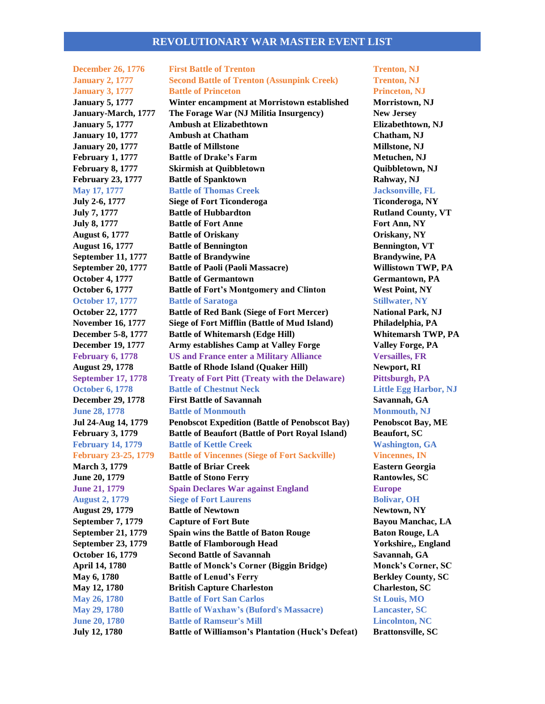### **REVOLUTIONARY WAR MASTER EVENT LIST**

**December 26, 1776 First Battle of Trenton Trenton, NJ January 2, 1777 Second Battle of Trenton (Assunpink Creek) Trenton, NJ January 3, 1777 Battle of Princeton Princeton, NJ January 5, 1777 Winter encampment at Morristown established Morristown, NJ January-March, 1777 The Forage War (NJ Militia Insurgency) New Jersey January 5, 1777 Ambush at Elizabethtown Elizabethtown, NJ January 10, 1777 Ambush at Chatham Chatham, NJ January 20, 1777 Battle of Millstone Millstone Millstone**, NJ **February 1, 1777 Battle of Drake's Farm Metuchen, NJ February 8, 1777 Skirmish at Quibbletown Quibbletown, NJ February 23, 1777 Battle of Spanktown Rahway, NJ May 17, 1777 Battle of Thomas Creek Jacksonville, FL July 2-6, 1777 Siege of Fort Ticonderoga Ticonderoga, NY July 7, 1777 Battle of Hubbardton Rutland County, VT July 8, 1777 Battle of Fort Anne Fort Ann, NY August 6, 1777 Battle of Oriskany Oriskany, NY August 16, 1777 Battle of Bennington Bennington, VT September 11, 1777 Battle of Brandywine Brandywine, PA September 20, 1777 Battle of Paoli (Paoli Massacre) Willistown TWP, PA October 4, 1777 Battle of Germantown Germantown Germantown**, PA **October 6, 1777 Battle of Fort's Montgomery and Clinton West Point, NY October 17, 1777 Battle of Saratoga Stillwater, NY October 22, 1777 Battle of Red Bank (Siege of Fort Mercer) National Park, NJ November 16, 1777 Siege of Fort Mifflin (Battle of Mud Island) Philadelphia, PA December 5-8, 1777 Battle of Whitemarsh (Edge Hill) Whitemarsh TWP, PA December 19, 1777 Army establishes Camp at Valley Forge Valley Forge, PA February 6, 1778 US and France enter a Military Alliance Versailles, FR August 29, 1778 Battle of Rhode Island (Quaker Hill) Newport, RI September 17, 1778 Treaty of Fort Pitt (Treaty with the Delaware) Pittsburgh, PA October 6, 1778 Battle of Chestnut Neck Little Egg Harbor, NJ December 29, 1778 First Battle of Savannah Savannah, GA June 28, 1778 Battle of Monmouth Monmouth Monmouth, NJ Jul 24-Aug 14, 1779 Penobscot Expedition (Battle of Penobscot Bay) Penobscot Bay, ME February 3, 1779 Battle of Beaufort (Battle of Port Royal Island) Beaufort, SC February 14, 1779 Battle of Kettle Creek Washington, GA February 23-25, 1779 Battle of Vincennes (Siege of Fort Sackville) Vincennes, IN March 3, 1779 Battle of Briar Creek Eastern Georgia June 20, 1779 Battle of Stono Ferry Rantowles, SC June 21, 1779 Spain Declares War against England Europe August 2, 1779 Siege of Fort Laurens Bolivar, OH August 29, 1779 Battle of Newtown Newtown, NY September 7, 1779 Capture of Fort Bute Bayou Manchac, LA September 21, 1779 Spain wins the Battle of Baton Rouge Baton Rouge, LA September 23, 1779 Battle of Flamborough Head Yorkshire,, England October 16, 1779 Second Battle of Savannah Savannah, GA April 14, 1780 Battle of Monck's Corner (Biggin Bridge) Monck's Corner, SC May 6, 1780 Battle of Lenud's Ferry Berkley County, SC May 12, 1780 British Capture Charleston Charleston, SC May 26, 1780 Battle of Fort San Carlos St Louis, MO May 29, 1780 Battle of Waxhaw's (Buford's Massacre) Lancaster, SC June 20, 1780 Battle of Ramseur's Mill Lincolnton, NC July 12, 1780 Battle of Williamson's Plantation (Huck's Defeat) Brattonsville, SC**